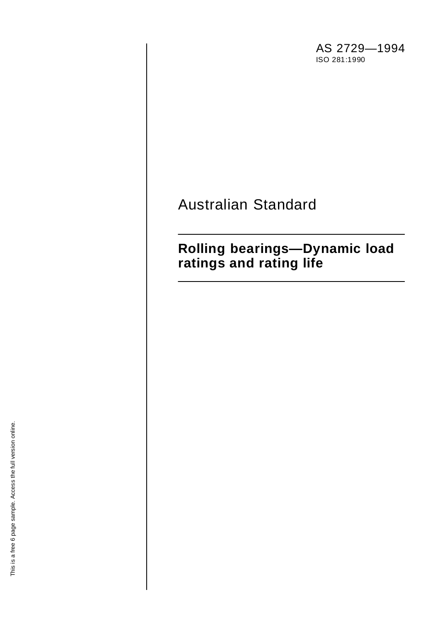AS 2729—1994 ISO 281:1990

# Australian Standard

## **Rolling bearings—Dynamic load ratings and rating life**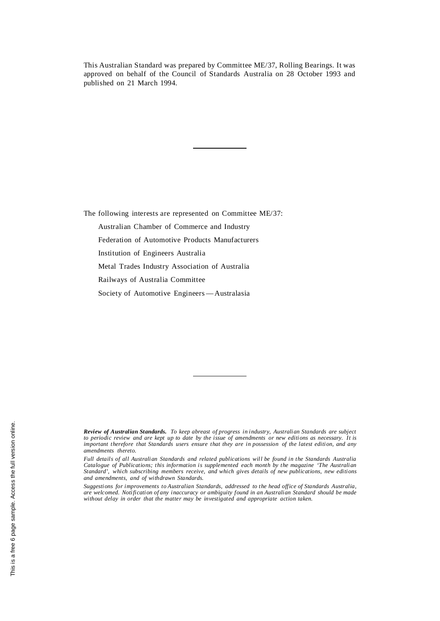This Australian Standard was prepared by Committee ME/37, Rolling Bearings. It was approved on behalf of the Council of Standards Australia on 28 October 1993 and published on 21 March 1994.

The following interests are represented on Committee ME/37:

Australian Chamber of Commerce and Industry

Federation of Automotive Products Manufacturers

Institution of Engineers Australia

Metal Trades Industry Association of Australia

Railways of Australia Committee

Society of Automotive Engineers — Australasia

*Review of Australian Standards. To keep abreast of progress in industry, Australian Standards are subject to periodic review and are kept up to date by the issue of amendments or new editions as necessary. It is important therefore that Standards users ensure that they are in possession of the latest edition, and any amendments thereto.*

*Full details of all Australian Standards and related publications will be found in the Standards Australia Catalogue of Publications; this information is supplemented each month by the magazine 'The Australian Standard', which subscribing members receive, and which gives details of new publications, new editions and amendments, and of withdrawn Standards.*

*Suggestions for improvements to Australian Standards, addressed to the head office of Standards Australia, are welcomed. Notification of any inaccuracy or ambiguity found in an Australian Standard should be made without delay in order that the matter may be investigated and appropriate action taken.*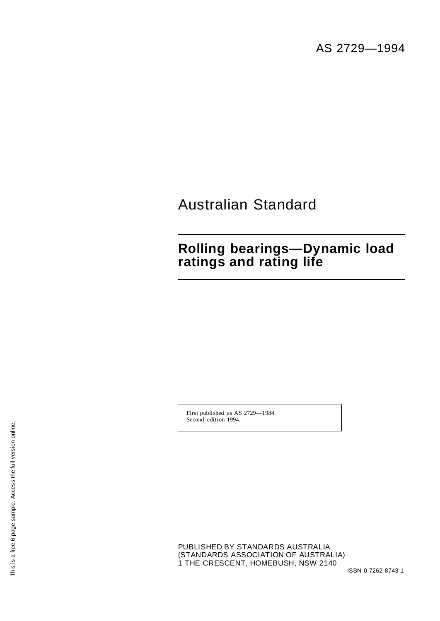# Australian Standard

## **Rolling bearings—Dynamic load ratings and rating life**

First published as AS 2729—1984. Second edition 1994.

PUBLISHED BY STANDARDS AUSTRALIA (STANDARDS ASSOCIATION OF AUSTRALIA) 1 THE CRESCENT, HOMEBUSH, NSW 2140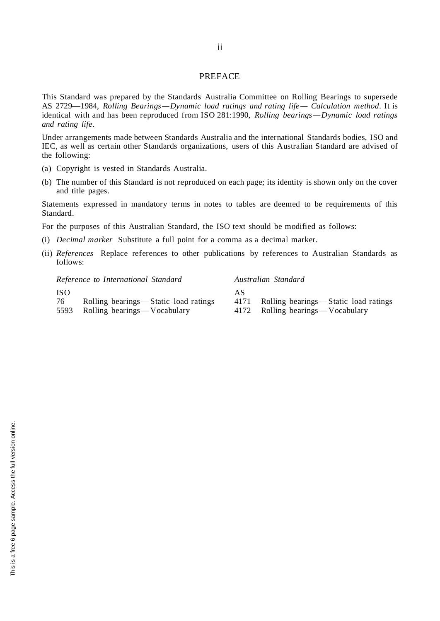### PREFACE

This Standard was prepared by the Standards Australia Committee on Rolling Bearings to supersede AS 2729—1984, *Rolling Bearings—Dynamic load ratings and rating life— Calculation method*. It is identical with and has been reproduced from ISO 281:1990, *Rolling bearings —Dynamic load ratings and rating life*.

Under arrangements made between Standards Australia and the international Standards bodies, ISO and IEC, as well as certain other Standards organizations, users of this Australian Standard are advised of the following:

- (a) Copyright is vested in Standards Australia.
- (b) The number of this Standard is not reproduced on each page; its identity is shown only on the cover and title pages.

Statements expressed in mandatory terms in notes to tables are deemed to be requirements of this Standard.

For the purposes of this Australian Standard, the ISO text should be modified as follows:

- (i) *Decimal marker* Substitute a full point for a comma as a decimal marker.
- (ii) *References* Replace references to other publications by references to Australian Standards as follows:

| Reference to International Standard  | Australian Standard                  |  |
|--------------------------------------|--------------------------------------|--|
| ISO.                                 | AS                                   |  |
| Rolling bearings—Static load ratings | Rolling bearings—Static load ratings |  |
| 76                                   | 4171                                 |  |
| Rolling bearings—Vocabulary          | Rolling bearings—Vocabulary          |  |
| 5593                                 | 4172                                 |  |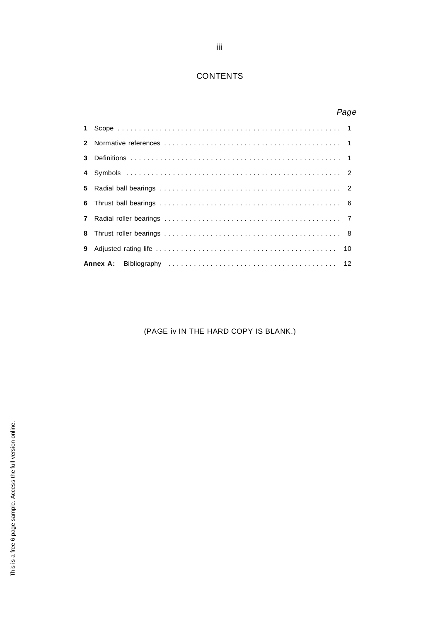### **CONTENTS**

### Page

(PAGE iv IN THE HARD COPY IS BLANK.)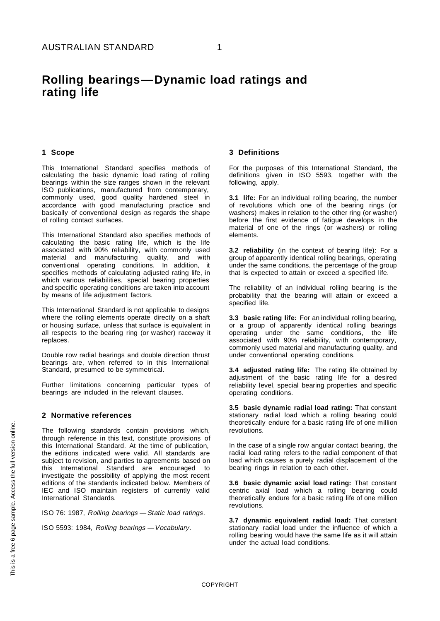### **Rolling bearings—Dynamic load ratings and rating life**

#### **1 Scope**

This International Standard specifies methods of calculating the basic dynamic load rating of rolling bearings within the size ranges shown in the relevant ISO publications, manufactured from contemporary, commonly used, good quality hardened steel in accordance with good manufacturing practice and basically of conventional design as regards the shape of rolling contact surfaces.

This International Standard also specifies methods of calculating the basic rating life, which is the life associated with 90% reliability, with commonly used material and manufacturing quality, and with conventional operating conditions. In addition, it specifies methods of calculating adjusted rating life, in which various reliabilities, special bearing properties and specific operating conditions are taken into account by means of life adjustment factors.

This International Standard is not applicable to designs where the rolling elements operate directly on a shaft or housing surface, unless that surface is equivalent in all respects to the bearing ring (or washer) raceway it replaces.

Double row radial bearings and double direction thrust bearings are, when referred to in this International Standard, presumed to be symmetrical.

Further limitations concerning particular types of bearings are included in the relevant clauses.

#### **2 Normative references**

The following standards contain provisions which, through reference in this text, constitute provisions of this International Standard. At the time of publication, the editions indicated were valid. All standards are subject to revision, and parties to agreements based on this International Standard are encouraged to investigate the possibility of applying the most recent editions of the standards indicated below. Members of IEC and ISO maintain registers of currently valid International Standards.

ISO 76: 1987, Rolling bearings — Static load ratings.

ISO 5593: 1984, Rolling bearings —Vocabulary .

#### **3 Definitions**

For the purposes of this International Standard, the definitions given in ISO 5593, together with the following, apply.

**3.1 life:** For an individual rolling bearing, the number of revolutions which one of the bearing rings (or washers) makes in relation to the other ring (or washer) before the first evidence of fatigue develops in the material of one of the rings (or washers) or rolling elements.

**3.2 reliability** (in the context of bearing life): For a group of apparently identical rolling bearings, operating under the same conditions, the percentage of the group that is expected to attain or exceed a specified life.

The reliability of an individual rolling bearing is the probability that the bearing will attain or exceed a specified life.

**3.3 basic rating life:** For an individual rolling bearing, or a group of apparently identical rolling bearings operating under the same conditions, the life associated with 90% reliability, with contemporary, commonly used material and manufacturing quality, and under conventional operating conditions.

**3.4 adjusted rating life:** The rating life obtained by adjustment of the basic rating life for a desired reliability level, special bearing properties and specific operating conditions.

**3.5 basic dynamic radial load rating:** That constant stationary radial load which a rolling bearing could theoretically endure for a basic rating life of one million revolutions.

In the case of a single row angular contact bearing, the radial load rating refers to the radial component of that load which causes a purely radial displacement of the bearing rings in relation to each other.

**3.6 basic dynamic axial load rating:** That constant centric axial load which a rolling bearing could theoretically endure for a basic rating life of one million revolutions.

**3.7 dynamic equivalent radial load:** That constant stationary radial load under the influence of which a rolling bearing would have the same life as it will attain under the actual load conditions.